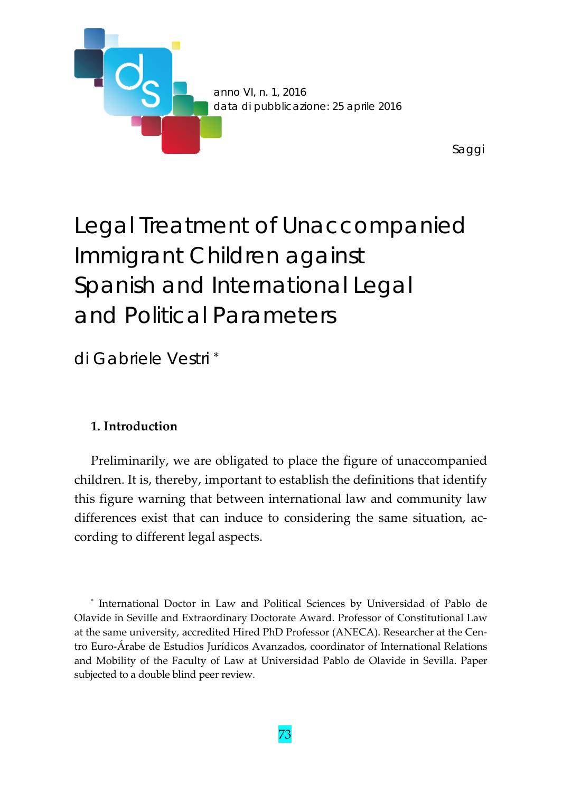

# Legal Treatment of Unaccompanied Immigrant Children against Spanish and International Legal and Political Parameters

di Gabriele Vestri \*

## **1. Introduction**

Preliminarily, we are obligated to place the figure of unaccompanied children. It is, thereby, important to establish the definitions that identify this figure warning that between international law and community law differences exist that can induce to considering the same situation, according to different legal aspects.

\* International Doctor in Law and Political Sciences by Universidad of Pablo de Olavide in Seville and Extraordinary Doctorate Award. Professor of Constitutional Law at the same university, accredited Hired PhD Professor (ANECA). Researcher at the Centro Euro‐Árabe de Estudios Jurídicos Avanzados, coordinator of International Relations and Mobility of the Faculty of Law at Universidad Pablo de Olavide in Sevilla. Paper subjected to a double blind peer review.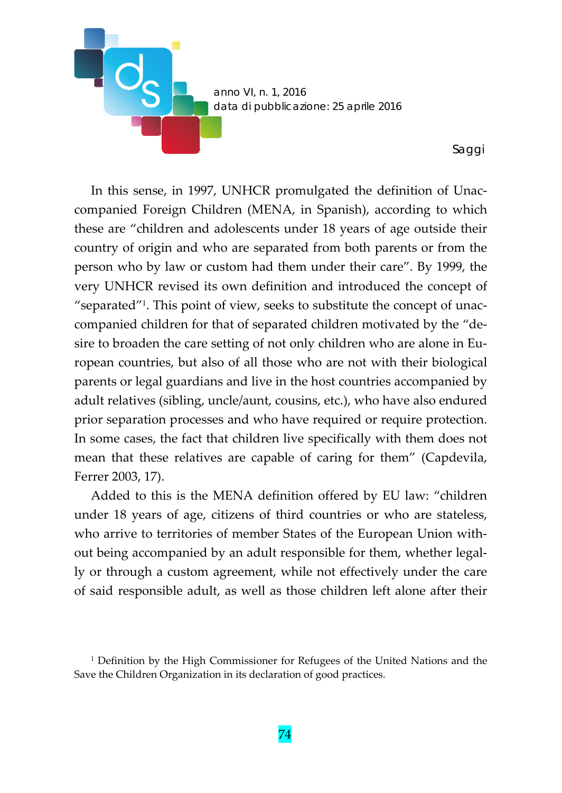

In this sense, in 1997, UNHCR promulgated the definition of Unaccompanied Foreign Children (MENA, in Spanish), according to which these are "children and adolescents under 18 years of age outside their country of origin and who are separated from both parents or from the person who by law or custom had them under their care"*.* By 1999, the very UNHCR revised its own definition and introduced the concept of "separated"1. This point of view, seeks to substitute the concept of unac‐ companied children for that of separated children motivated by the "de‐ sire to broaden the care setting of not only children who are alone in European countries, but also of all those who are not with their biological parents or legal guardians and live in the host countries accompanied by adult relatives (sibling, uncle/aunt, cousins, etc.), who have also endured prior separation processes and who have required or require protection. In some cases, the fact that children live specifically with them does not mean that these relatives are capable of caring for them" (Capdevila, Ferrer 2003, 17).

Added to this is the MENA definition offered by EU law: "children under 18 years of age, citizens of third countries or who are stateless, who arrive to territories of member States of the European Union without being accompanied by an adult responsible for them, whether legal‐ ly or through a custom agreement, while not effectively under the care of said responsible adult, as well as those children left alone after their

<sup>1</sup> Definition by the High Commissioner for Refugees of the United Nations and the Save the Children Organization in its declaration of good practices.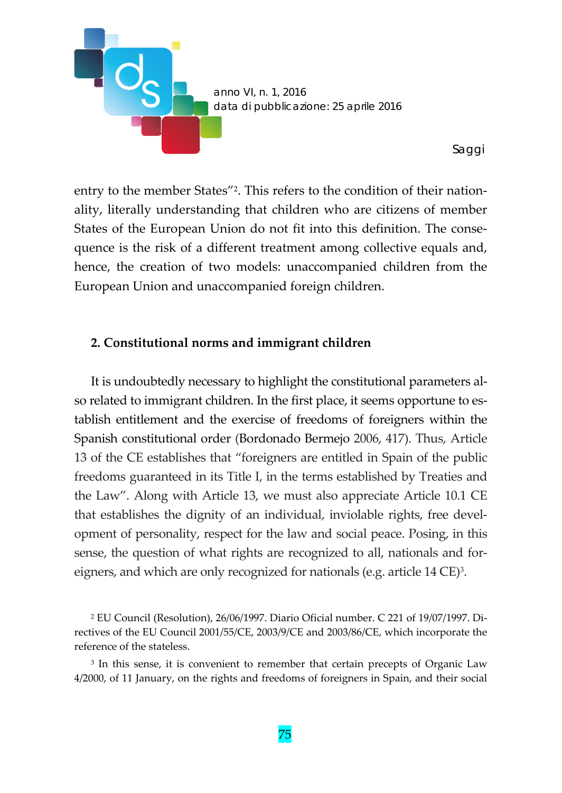

entry to the member States"<sup>2</sup>. This refers to the condition of their nationality, literally understanding that children who are citizens of member States of the European Union do not fit into this definition. The conse‐ quence is the risk of a different treatment among collective equals and, hence, the creation of two models: unaccompanied children from the European Union and unaccompanied foreign children.

## **2. Constitutional norms and immigrant children**

It is undoubtedly necessary to highlight the constitutional parameters al‐ so related to immigrant children. In the first place, it seems opportune to establish entitlement and the exercise of freedoms of foreigners within the Spanish constitutional order (Bordonado Bermejo 2006, 417). Thus, Article 13 of the CE establishes that "foreigners are entitled in Spain of the public freedoms guaranteed in its Title I, in the terms established by Treaties and the Law". Along with Article 13, we must also appreciate Article 10.1 CE that establishes the dignity of an individual, inviolable rights, free devel‐ opment of personality, respect for the law and social peace. Posing, in this sense, the question of what rights are recognized to all, nationals and for‐ eigners, and which are only recognized for nationals (e.g. article 14 CE)3.

<sup>2</sup> EU Council (Resolution), 26/06/1997. Diario Oficial number. C 221 of 19/07/1997. Di‐ rectives of the EU Council 2001/55/CE, 2003/9/CE and 2003/86/CE, which incorporate the reference of the stateless.

<sup>3</sup> In this sense, it is convenient to remember that certain precepts of Organic Law 4/2000, of 11 January, on the rights and freedoms of foreigners in Spain, and their social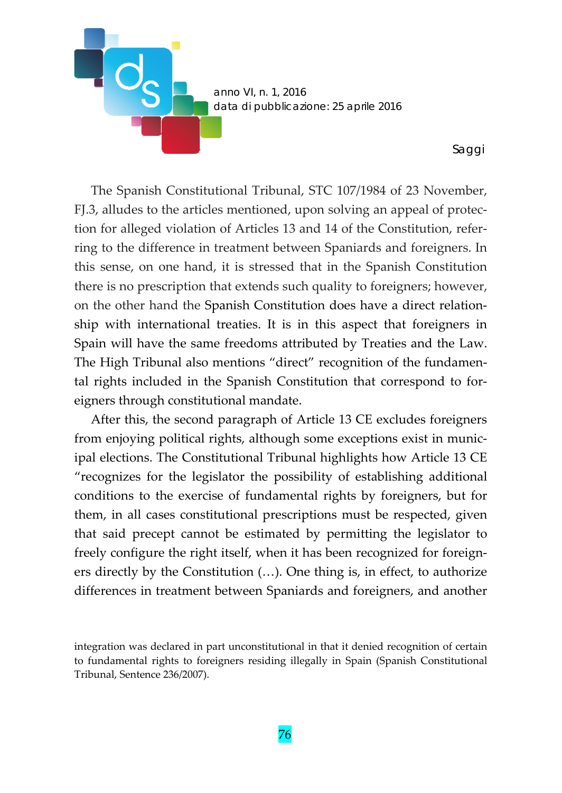

The Spanish Constitutional Tribunal, STC 107/1984 of 23 November, FJ.3, alludes to the articles mentioned, upon solving an appeal of protec‐ tion for alleged violation of Articles 13 and 14 of the Constitution, refer‐ ring to the difference in treatment between Spaniards and foreigners. In this sense, on one hand, it is stressed that in the Spanish Constitution there is no prescription that extends such quality to foreigners; however, on the other hand the Spanish Constitution does have a direct relation‐ ship with international treaties. It is in this aspect that foreigners in Spain will have the same freedoms attributed by Treaties and the Law. The High Tribunal also mentions "direct" recognition of the fundamen‐ tal rights included in the Spanish Constitution that correspond to for‐ eigners through constitutional mandate.

After this, the second paragraph of Article 13 CE excludes foreigners from enjoying political rights, although some exceptions exist in munic‐ ipal elections. The Constitutional Tribunal highlights how Article 13 CE "recognizes for the legislator the possibility of establishing additional conditions to the exercise of fundamental rights by foreigners, but for them, in all cases constitutional prescriptions must be respected, given that said precept cannot be estimated by permitting the legislator to freely configure the right itself, when it has been recognized for foreigners directly by the Constitution (…). One thing is, in effect, to authorize differences in treatment between Spaniards and foreigners, and another

integration was declared in part unconstitutional in that it denied recognition of certain to fundamental rights to foreigners residing illegally in Spain (Spanish Constitutional Tribunal, Sentence 236/2007).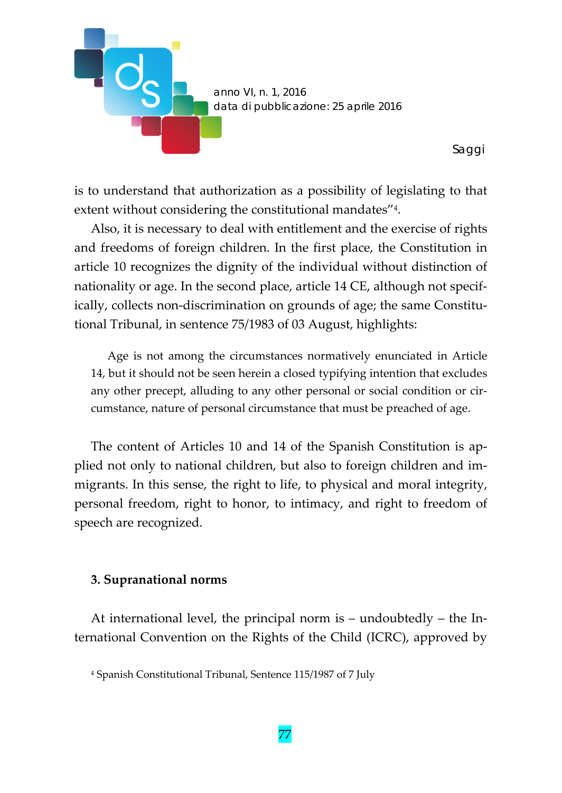

is to understand that authorization as a possibility of legislating to that extent without considering the constitutional mandates"4.

Also, it is necessary to deal with entitlement and the exercise of rights and freedoms of foreign children. In the first place, the Constitution in article 10 recognizes the dignity of the individual without distinction of nationality or age. In the second place, article 14 CE, although not specif‐ ically, collects non-discrimination on grounds of age; the same Constitutional Tribunal, in sentence 75/1983 of 03 August, highlights:

Age is not among the circumstances normatively enunciated in Article 14, but it should not be seen herein a closed typifying intention that excludes any other precept, alluding to any other personal or social condition or circumstance, nature of personal circumstance that must be preached of age.

The content of Articles 10 and 14 of the Spanish Constitution is applied not only to national children, but also to foreign children and im‐ migrants. In this sense, the right to life, to physical and moral integrity, personal freedom, right to honor, to intimacy, and right to freedom of speech are recognized.

#### **3. Supranational norms**

At international level, the principal norm is – undoubtedly – the In‐ ternational Convention on the Rights of the Child (ICRC), approved by

<sup>4</sup> Spanish Constitutional Tribunal, Sentence 115/1987 of 7 July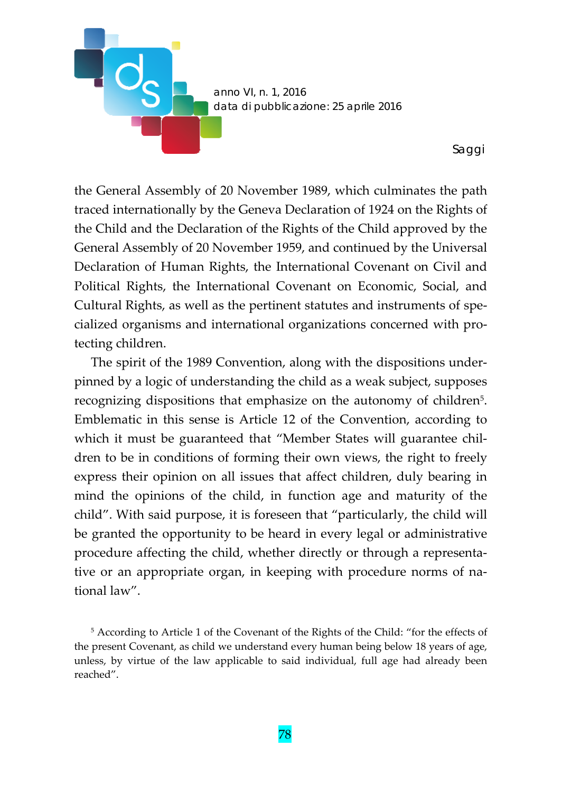

the General Assembly of 20 November 1989, which culminates the path traced internationally by the Geneva Declaration of 1924 on the Rights of the Child and the Declaration of the Rights of the Child approved by the General Assembly of 20 November 1959, and continued by the Universal Declaration of Human Rights, the International Covenant on Civil and Political Rights, the International Covenant on Economic, Social, and Cultural Rights, as well as the pertinent statutes and instruments of spe‐ cialized organisms and international organizations concerned with pro‐ tecting children.

The spirit of the 1989 Convention, along with the dispositions under‐ pinned by a logic of understanding the child as a weak subject, supposes recognizing dispositions that emphasize on the autonomy of children<sup>5</sup>. Emblematic in this sense is Article 12 of the Convention, according to which it must be guaranteed that "Member States will guarantee children to be in conditions of forming their own views, the right to freely express their opinion on all issues that affect children, duly bearing in mind the opinions of the child, in function age and maturity of the child". With said purpose, it is foreseen that "particularly, the child will be granted the opportunity to be heard in every legal or administrative procedure affecting the child, whether directly or through a representa‐ tive or an appropriate organ, in keeping with procedure norms of na‐ tional law".

<sup>5</sup> According to Article 1 of the Covenant of the Rights of the Child: "for the effects of the present Covenant, as child we understand every human being below 18 years of age, unless, by virtue of the law applicable to said individual, full age had already been reached".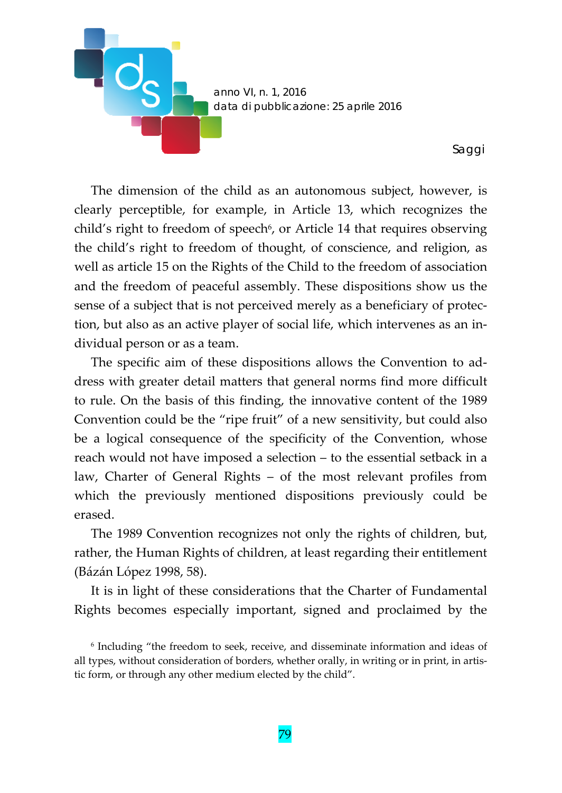

The dimension of the child as an autonomous subject, however, is clearly perceptible, for example, in Article 13, which recognizes the child's right to freedom of speech<sup>6</sup>, or Article 14 that requires observing the child's right to freedom of thought, of conscience, and religion, as well as article 15 on the Rights of the Child to the freedom of association and the freedom of peaceful assembly. These dispositions show us the sense of a subject that is not perceived merely as a beneficiary of protection, but also as an active player of social life, which intervenes as an in‐ dividual person or as a team.

The specific aim of these dispositions allows the Convention to ad‐ dress with greater detail matters that general norms find more difficult to rule. On the basis of this finding, the innovative content of the 1989 Convention could be the "ripe fruit" of a new sensitivity, but could also be a logical consequence of the specificity of the Convention, whose reach would not have imposed a selection – to the essential setback in a law, Charter of General Rights – of the most relevant profiles from which the previously mentioned dispositions previously could be erased.

The 1989 Convention recognizes not only the rights of children, but, rather, the Human Rights of children, at least regarding their entitlement (Bázán López 1998, 58).

It is in light of these considerations that the Charter of Fundamental Rights becomes especially important, signed and proclaimed by the

<sup>6</sup> Including "the freedom to seek, receive, and disseminate information and ideas of all types, without consideration of borders, whether orally, in writing or in print, in artis‐ tic form, or through any other medium elected by the child".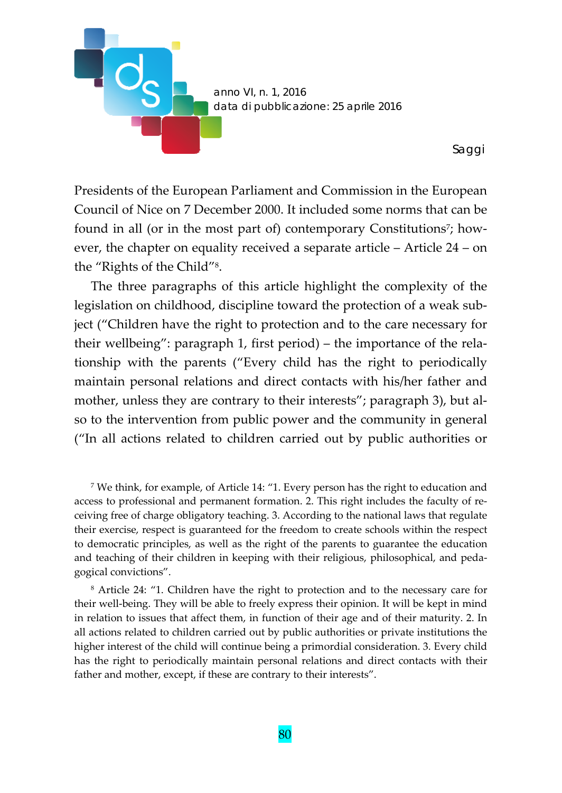

Presidents of the European Parliament and Commission in the European Council of Nice on 7 December 2000. It included some norms that can be found in all (or in the most part of) contemporary Constitutions<sup>7</sup>; however, the chapter on equality received a separate article – Article 24 – on the "Rights of the Child"8.

The three paragraphs of this article highlight the complexity of the legislation on childhood, discipline toward the protection of a weak subject ("Children have the right to protection and to the care necessary for their wellbeing": paragraph 1, first period) – the importance of the rela‐ tionship with the parents ("Every child has the right to periodically maintain personal relations and direct contacts with his/her father and mother, unless they are contrary to their interests"; paragraph 3), but also to the intervention from public power and the community in general ("In all actions related to children carried out by public authorities or

<sup>7</sup> We think, for example, of Article 14: "1. Every person has the right to education and access to professional and permanent formation. 2. This right includes the faculty of re‐ ceiving free of charge obligatory teaching. 3. According to the national laws that regulate their exercise, respect is guaranteed for the freedom to create schools within the respect to democratic principles, as well as the right of the parents to guarantee the education and teaching of their children in keeping with their religious, philosophical, and peda‐ gogical convictions".

<sup>8</sup> Article 24: "1. Children have the right to protection and to the necessary care for their well‐being. They will be able to freely express their opinion. It will be kept in mind in relation to issues that affect them, in function of their age and of their maturity. 2. In all actions related to children carried out by public authorities or private institutions the higher interest of the child will continue being a primordial consideration. 3. Every child has the right to periodically maintain personal relations and direct contacts with their father and mother, except, if these are contrary to their interests".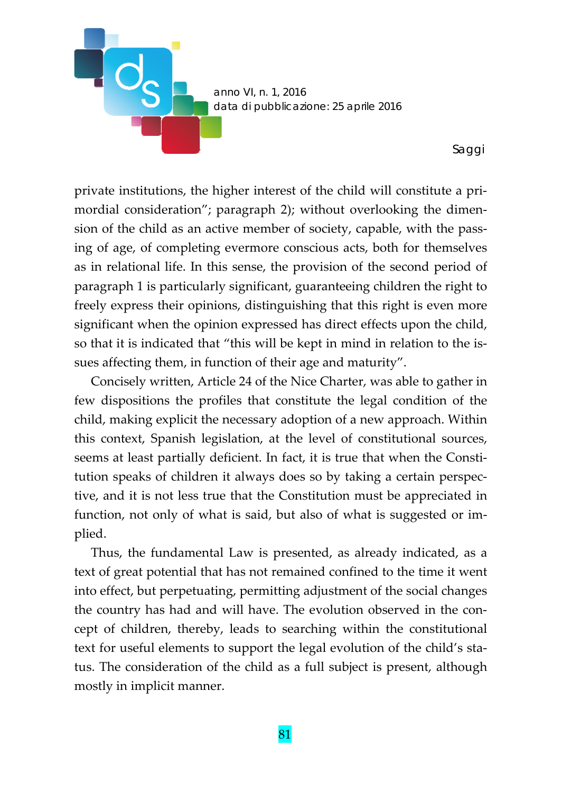

private institutions, the higher interest of the child will constitute a pri‐ mordial consideration"; paragraph 2); without overlooking the dimension of the child as an active member of society, capable, with the passing of age, of completing evermore conscious acts, both for themselves as in relational life. In this sense, the provision of the second period of paragraph 1 is particularly significant, guaranteeing children the right to freely express their opinions, distinguishing that this right is even more significant when the opinion expressed has direct effects upon the child, so that it is indicated that "this will be kept in mind in relation to the is‐ sues affecting them, in function of their age and maturity".

Concisely written, Article 24 of the Nice Charter, was able to gather in few dispositions the profiles that constitute the legal condition of the child, making explicit the necessary adoption of a new approach. Within this context, Spanish legislation, at the level of constitutional sources, seems at least partially deficient. In fact, it is true that when the Constitution speaks of children it always does so by taking a certain perspec‐ tive, and it is not less true that the Constitution must be appreciated in function, not only of what is said, but also of what is suggested or im‐ plied.

Thus, the fundamental Law is presented, as already indicated, as a text of great potential that has not remained confined to the time it went into effect, but perpetuating, permitting adjustment of the social changes the country has had and will have. The evolution observed in the con‐ cept of children, thereby, leads to searching within the constitutional text for useful elements to support the legal evolution of the child's sta‐ tus. The consideration of the child as a full subject is present, although mostly in implicit manner.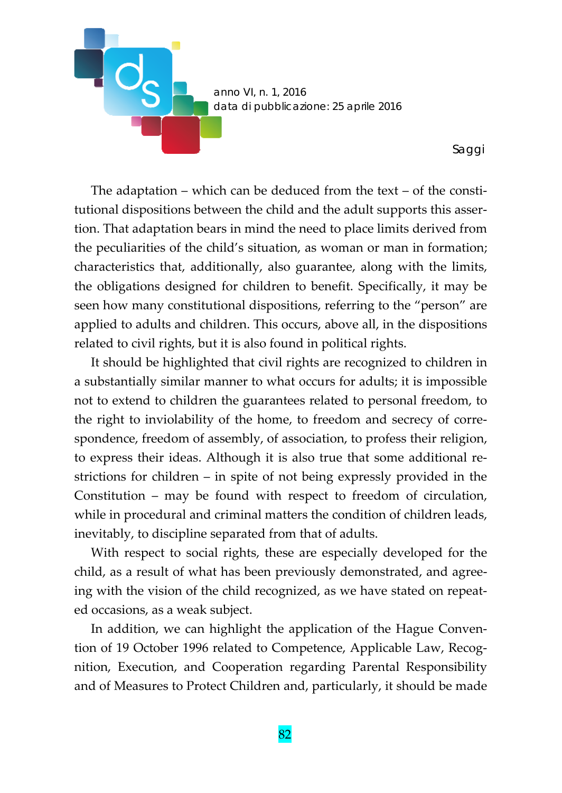

The adaptation – which can be deduced from the text – of the constitutional dispositions between the child and the adult supports this asser‐ tion. That adaptation bears in mind the need to place limits derived from the peculiarities of the child's situation, as woman or man in formation; characteristics that, additionally, also guarantee, along with the limits, the obligations designed for children to benefit. Specifically, it may be seen how many constitutional dispositions, referring to the "person" are applied to adults and children. This occurs, above all, in the dispositions related to civil rights, but it is also found in political rights.

It should be highlighted that civil rights are recognized to children in a substantially similar manner to what occurs for adults; it is impossible not to extend to children the guarantees related to personal freedom, to the right to inviolability of the home, to freedom and secrecy of correspondence, freedom of assembly, of association, to profess their religion, to express their ideas. Although it is also true that some additional re‐ strictions for children – in spite of not being expressly provided in the Constitution – may be found with respect to freedom of circulation, while in procedural and criminal matters the condition of children leads, inevitably, to discipline separated from that of adults.

With respect to social rights, these are especially developed for the child, as a result of what has been previously demonstrated, and agree‐ ing with the vision of the child recognized, as we have stated on repeat‐ ed occasions, as a weak subject.

In addition, we can highlight the application of the Hague Conven‐ tion of 19 October 1996 related to Competence, Applicable Law, Recog‐ nition, Execution, and Cooperation regarding Parental Responsibility and of Measures to Protect Children and, particularly, it should be made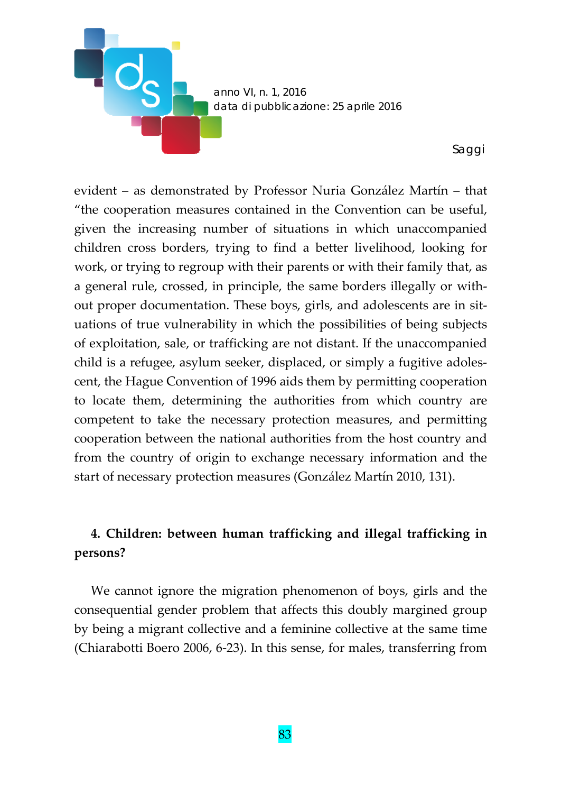

evident – as demonstrated by Professor Nuria González Martín – that "the cooperation measures contained in the Convention can be useful, given the increasing number of situations in which unaccompanied children cross borders, trying to find a better livelihood, looking for work, or trying to regroup with their parents or with their family that, as a general rule, crossed, in principle, the same borders illegally or with‐ out proper documentation. These boys, girls, and adolescents are in situations of true vulnerability in which the possibilities of being subjects of exploitation, sale, or trafficking are not distant. If the unaccompanied child is a refugee, asylum seeker, displaced, or simply a fugitive adoles‐ cent, the Hague Convention of 1996 aids them by permitting cooperation to locate them, determining the authorities from which country are competent to take the necessary protection measures, and permitting cooperation between the national authorities from the host country and from the country of origin to exchange necessary information and the start of necessary protection measures (González Martín 2010, 131).

# **4. Children: between human trafficking and illegal trafficking in persons?**

We cannot ignore the migration phenomenon of boys, girls and the consequential gender problem that affects this doubly margined group by being a migrant collective and a feminine collective at the same time (Chiarabotti Boero 2006, 6‐23). In this sense, for males, transferring from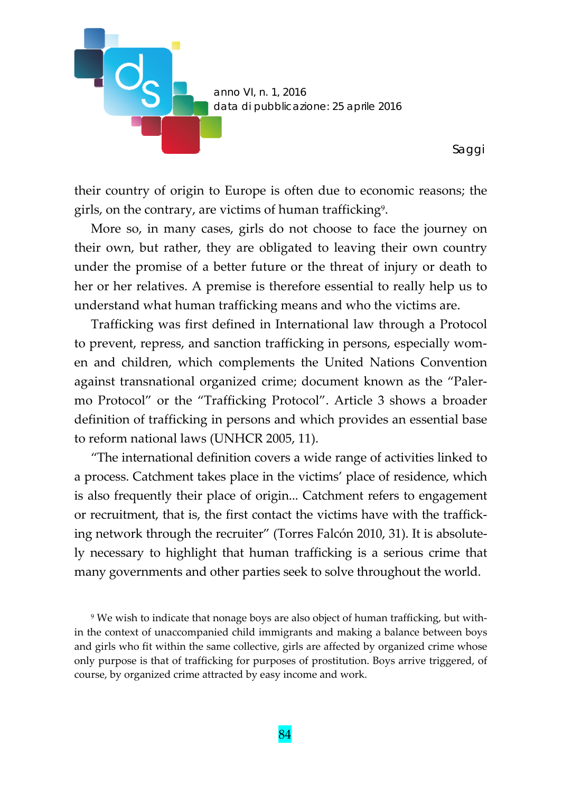

their country of origin to Europe is often due to economic reasons; the girls, on the contrary, are victims of human trafficking<sup>9</sup>.

More so, in many cases, girls do not choose to face the journey on their own, but rather, they are obligated to leaving their own country under the promise of a better future or the threat of injury or death to her or her relatives. A premise is therefore essential to really help us to understand what human trafficking means and who the victims are.

Trafficking was first defined in International law through a Protocol to prevent, repress, and sanction trafficking in persons, especially women and children, which complements the United Nations Convention against transnational organized crime; document known as the "Paler‐ mo Protocol" or the "Trafficking Protocol". Article 3 shows a broader definition of trafficking in persons and which provides an essential base to reform national laws (UNHCR 2005, 11).

"The international definition covers a wide range of activities linked to a process. Catchment takes place in the victims' place of residence, which is also frequently their place of origin... Catchment refers to engagement or recruitment, that is, the first contact the victims have with the traffick‐ ing network through the recruiter" (Torres Falcón 2010, 31). It is absolute‐ ly necessary to highlight that human trafficking is a serious crime that many governments and other parties seek to solve throughout the world.

<sup>9</sup> We wish to indicate that nonage boys are also object of human trafficking, but with‐ in the context of unaccompanied child immigrants and making a balance between boys and girls who fit within the same collective, girls are affected by organized crime whose only purpose is that of trafficking for purposes of prostitution. Boys arrive triggered, of course, by organized crime attracted by easy income and work.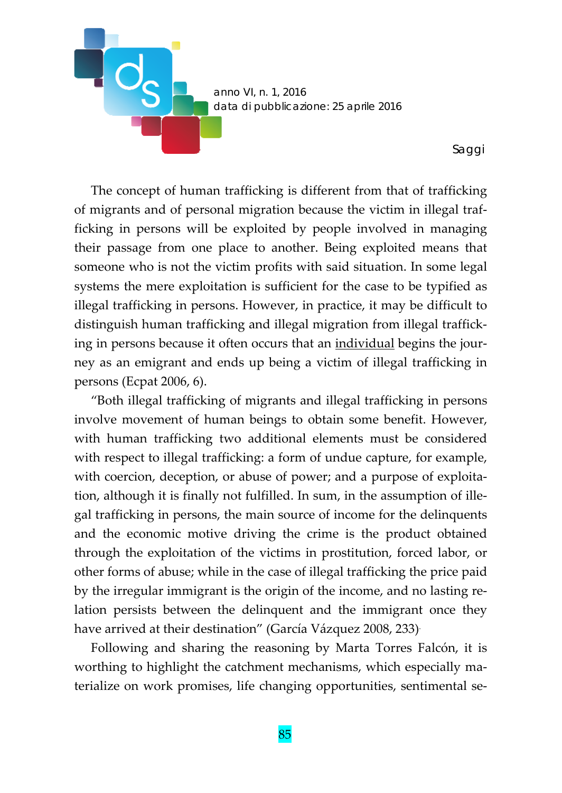

The concept of human trafficking is different from that of trafficking of migrants and of personal migration because the victim in illegal traf‐ ficking in persons will be exploited by people involved in managing their passage from one place to another. Being exploited means that someone who is not the victim profits with said situation. In some legal systems the mere exploitation is sufficient for the case to be typified as illegal trafficking in persons. However, in practice, it may be difficult to distinguish human trafficking and illegal migration from illegal traffick‐ ing in persons because it often occurs that an individual begins the jour‐ ney as an emigrant and ends up being a victim of illegal trafficking in persons (Ecpat 2006, 6).

"Both illegal trafficking of migrants and illegal trafficking in persons involve movement of human beings to obtain some benefit. However, with human trafficking two additional elements must be considered with respect to illegal trafficking: a form of undue capture, for example, with coercion, deception, or abuse of power; and a purpose of exploitation, although it is finally not fulfilled. In sum, in the assumption of ille‐ gal trafficking in persons, the main source of income for the delinquents and the economic motive driving the crime is the product obtained through the exploitation of the victims in prostitution, forced labor, or other forms of abuse; while in the case of illegal trafficking the price paid by the irregular immigrant is the origin of the income, and no lasting re‐ lation persists between the delinquent and the immigrant once they have arrived at their destination" (García Vázquez 2008, 233).

Following and sharing the reasoning by Marta Torres Falcón, it is worthing to highlight the catchment mechanisms, which especially materialize on work promises, life changing opportunities, sentimental se‐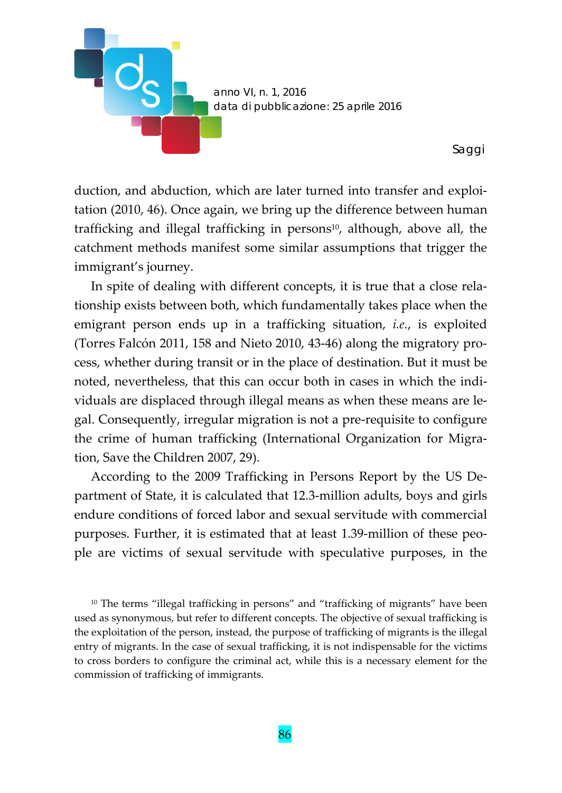

duction, and abduction, which are later turned into transfer and exploi‐ tation (2010, 46). Once again, we bring up the difference between human trafficking and illegal trafficking in persons<sup>10</sup>, although, above all, the catchment methods manifest some similar assumptions that trigger the immigrant's journey.

In spite of dealing with different concepts, it is true that a close relationship exists between both, which fundamentally takes place when the emigrant person ends up in a trafficking situation, *i.e.*, is exploited (Torres Falcón 2011, 158 and Nieto 2010, 43‐46) along the migratory pro‐ cess, whether during transit or in the place of destination. But it must be noted, nevertheless, that this can occur both in cases in which the indi‐ viduals are displaced through illegal means as when these means are le‐ gal. Consequently, irregular migration is not a pre‐requisite to configure the crime of human trafficking (International Organization for Migra‐ tion, Save the Children 2007, 29).

According to the 2009 Trafficking in Persons Report by the US De‐ partment of State, it is calculated that 12.3‐million adults, boys and girls endure conditions of forced labor and sexual servitude with commercial purposes. Further, it is estimated that at least 1.39‐million of these peo‐ ple are victims of sexual servitude with speculative purposes, in the

<sup>10</sup> The terms "illegal trafficking in persons" and "trafficking of migrants" have been used as synonymous, but refer to different concepts. The objective of sexual trafficking is the exploitation of the person, instead, the purpose of trafficking of migrants is the illegal entry of migrants. In the case of sexual trafficking, it is not indispensable for the victims to cross borders to configure the criminal act, while this is a necessary element for the commission of trafficking of immigrants.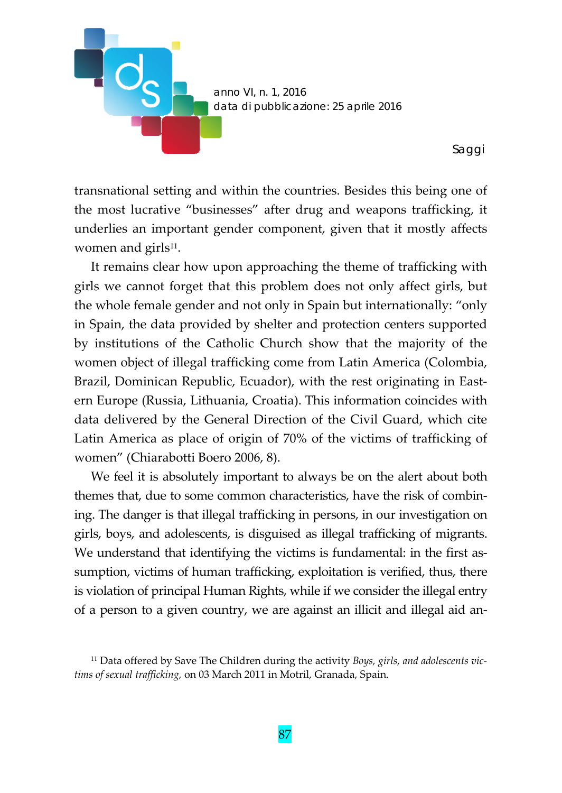

transnational setting and within the countries. Besides this being one of the most lucrative "businesses" after drug and weapons trafficking, it underlies an important gender component, given that it mostly affects women and girls $11$ .

It remains clear how upon approaching the theme of trafficking with girls we cannot forget that this problem does not only affect girls, but the whole female gender and not only in Spain but internationally: "only in Spain, the data provided by shelter and protection centers supported by institutions of the Catholic Church show that the majority of the women object of illegal trafficking come from Latin America (Colombia, Brazil, Dominican Republic, Ecuador), with the rest originating in Eastern Europe (Russia, Lithuania, Croatia). This information coincides with data delivered by the General Direction of the Civil Guard, which cite Latin America as place of origin of 70% of the victims of trafficking of women" (Chiarabotti Boero 2006, 8).

We feel it is absolutely important to always be on the alert about both themes that, due to some common characteristics, have the risk of combin‐ ing. The danger is that illegal trafficking in persons, in our investigation on girls, boys, and adolescents, is disguised as illegal trafficking of migrants. We understand that identifying the victims is fundamental: in the first assumption, victims of human trafficking, exploitation is verified, thus, there is violation of principal Human Rights, while if we consider the illegal entry of a person to a given country, we are against an illicit and illegal aid an‐

<sup>11</sup> Data offered by Save The Children during the activity *Boys, girls, and adolescents vic‐ tims of sexual trafficking,* on 03 March 2011 in Motril, Granada, Spain.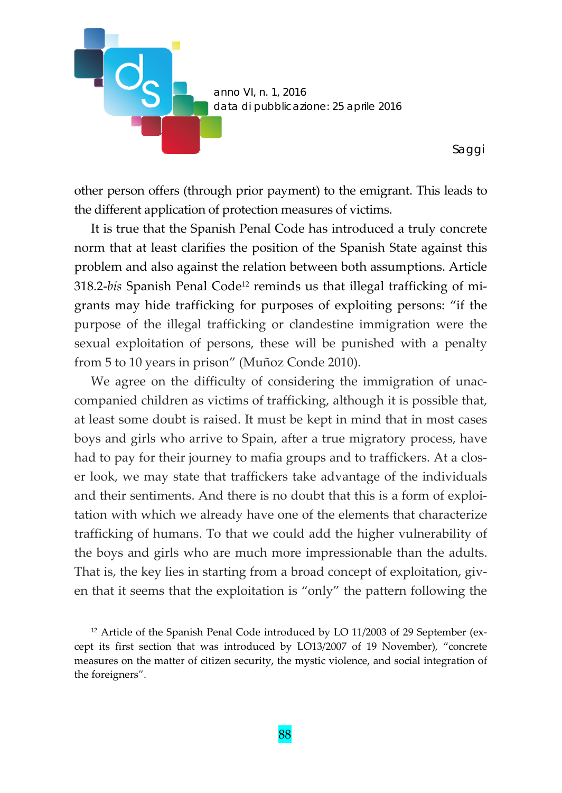

other person offers (through prior payment) to the emigrant. This leads to the different application of protection measures of victims.

It is true that the Spanish Penal Code has introduced a truly concrete norm that at least clarifies the position of the Spanish State against this problem and also against the relation between both assumptions. Article 318.2‐*bis* Spanish Penal Code12 reminds us that illegal trafficking of mi‐ grants may hide trafficking for purposes of exploiting persons: "if the purpose of the illegal trafficking or clandestine immigration were the sexual exploitation of persons, these will be punished with a penalty from 5 to 10 years in prison" (Muñoz Conde 2010).

We agree on the difficulty of considering the immigration of unaccompanied children as victims of trafficking, although it is possible that, at least some doubt is raised. It must be kept in mind that in most cases boys and girls who arrive to Spain, after a true migratory process, have had to pay for their journey to mafia groups and to traffickers. At a closer look, we may state that traffickers take advantage of the individuals and their sentiments. And there is no doubt that this is a form of exploi‐ tation with which we already have one of the elements that characterize trafficking of humans. To that we could add the higher vulnerability of the boys and girls who are much more impressionable than the adults. That is, the key lies in starting from a broad concept of exploitation, giv‐ en that it seems that the exploitation is "only" the pattern following the

<sup>12</sup> Article of the Spanish Penal Code introduced by LO 11/2003 of 29 September (ex‐ cept its first section that was introduced by LO13/2007 of 19 November), "concrete measures on the matter of citizen security, the mystic violence, and social integration of the foreigners".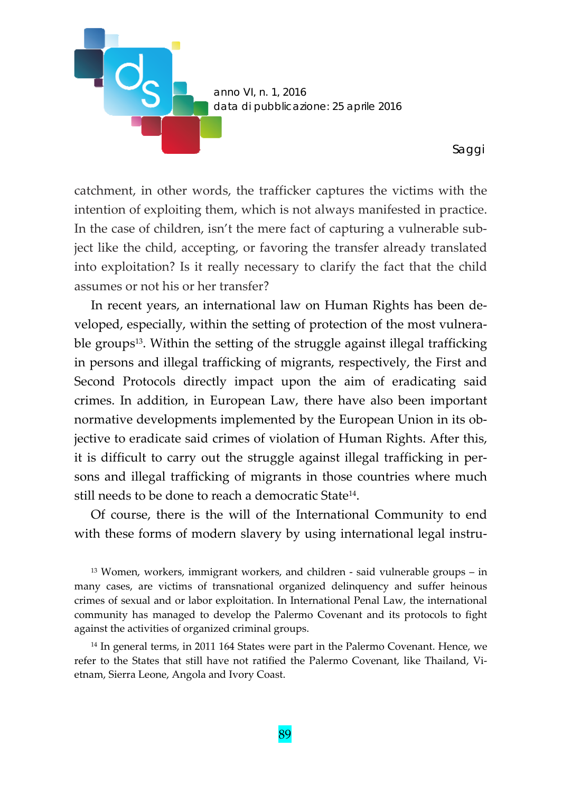

catchment, in other words, the trafficker captures the victims with the intention of exploiting them, which is not always manifested in practice. In the case of children, isn't the mere fact of capturing a vulnerable subject like the child, accepting, or favoring the transfer already translated into exploitation? Is it really necessary to clarify the fact that the child assumes or not his or her transfer?

In recent years, an international law on Human Rights has been de‐ veloped, especially, within the setting of protection of the most vulnerable groups<sup>13</sup>. Within the setting of the struggle against illegal trafficking in persons and illegal trafficking of migrants, respectively, the First and Second Protocols directly impact upon the aim of eradicating said crimes. In addition, in European Law, there have also been important normative developments implemented by the European Union in its ob‐ jective to eradicate said crimes of violation of Human Rights. After this, it is difficult to carry out the struggle against illegal trafficking in per‐ sons and illegal trafficking of migrants in those countries where much still needs to be done to reach a democratic State<sup>14</sup>.

Of course, there is the will of the International Community to end with these forms of modern slavery by using international legal instru-

 $13$  Women, workers, immigrant workers, and children  $-$  said vulnerable groups  $-$  in many cases, are victims of transnational organized delinquency and suffer heinous crimes of sexual and or labor exploitation. In International Penal Law, the international community has managed to develop the Palermo Covenant and its protocols to fight against the activities of organized criminal groups.

<sup>14</sup> In general terms, in 2011 164 States were part in the Palermo Covenant. Hence, we refer to the States that still have not ratified the Palermo Covenant, like Thailand, Vi‐ etnam, Sierra Leone, Angola and Ivory Coast.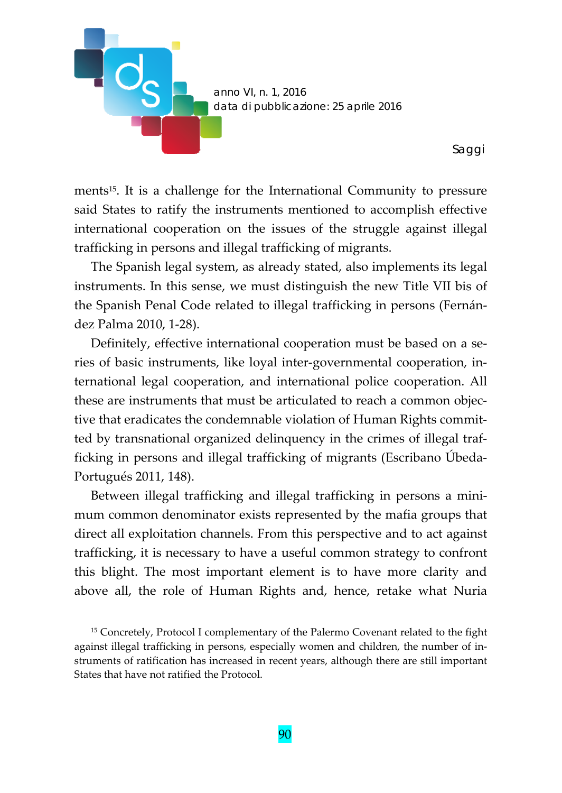

ments<sup>15</sup>. It is a challenge for the International Community to pressure said States to ratify the instruments mentioned to accomplish effective international cooperation on the issues of the struggle against illegal trafficking in persons and illegal trafficking of migrants.

The Spanish legal system, as already stated, also implements its legal instruments. In this sense, we must distinguish the new Title VII bis of the Spanish Penal Code related to illegal trafficking in persons (Fernán‐ dez Palma 2010, 1‐28).

Definitely, effective international cooperation must be based on a series of basic instruments, like loyal inter‐governmental cooperation, in‐ ternational legal cooperation, and international police cooperation. All these are instruments that must be articulated to reach a common objec‐ tive that eradicates the condemnable violation of Human Rights committed by transnational organized delinquency in the crimes of illegal traf‐ ficking in persons and illegal trafficking of migrants (Escribano Úbeda‐ Portugués 2011, 148).

Between illegal trafficking and illegal trafficking in persons a mini‐ mum common denominator exists represented by the mafia groups that direct all exploitation channels. From this perspective and to act against trafficking, it is necessary to have a useful common strategy to confront this blight. The most important element is to have more clarity and above all, the role of Human Rights and, hence, retake what Nuria

<sup>15</sup> Concretely, Protocol I complementary of the Palermo Covenant related to the fight against illegal trafficking in persons, especially women and children, the number of in‐ struments of ratification has increased in recent years, although there are still important States that have not ratified the Protocol.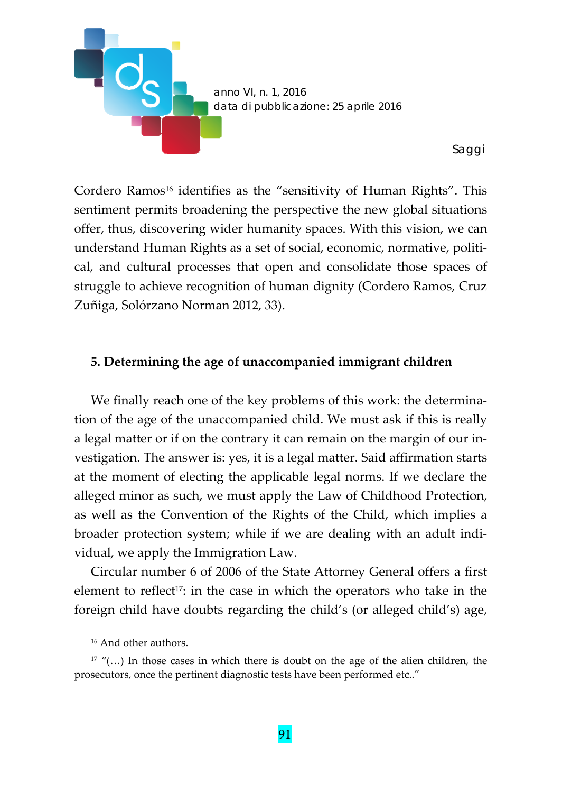

Cordero Ramos<sup>16</sup> identifies as the "sensitivity of Human Rights". This sentiment permits broadening the perspective the new global situations offer, thus, discovering wider humanity spaces. With this vision, we can understand Human Rights as a set of social, economic, normative, politi‐ cal, and cultural processes that open and consolidate those spaces of struggle to achieve recognition of human dignity (Cordero Ramos, Cruz Zuñiga, Solórzano Norman 2012, 33).

## **5. Determining the age of unaccompanied immigrant children**

We finally reach one of the key problems of this work: the determination of the age of the unaccompanied child. We must ask if this is really a legal matter or if on the contrary it can remain on the margin of our in‐ vestigation. The answer is: yes, it is a legal matter. Said affirmation starts at the moment of electing the applicable legal norms. If we declare the alleged minor as such, we must apply the Law of Childhood Protection, as well as the Convention of the Rights of the Child, which implies a broader protection system; while if we are dealing with an adult indi‐ vidual, we apply the Immigration Law.

Circular number 6 of 2006 of the State Attorney General offers a first element to reflect<sup>17</sup>: in the case in which the operators who take in the foreign child have doubts regarding the child's (or alleged child's) age,

<sup>16</sup> And other authors.

<sup>&</sup>lt;sup>17</sup> "(...) In those cases in which there is doubt on the age of the alien children, the prosecutors, once the pertinent diagnostic tests have been performed etc.."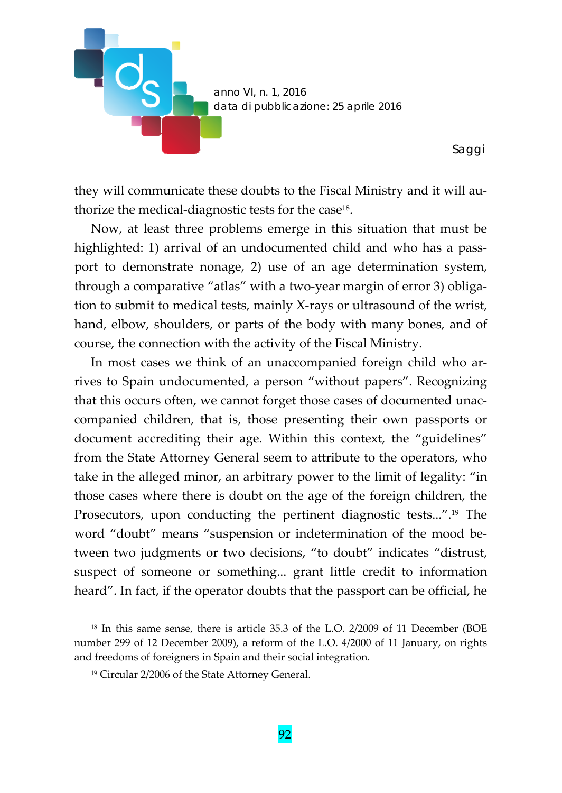

they will communicate these doubts to the Fiscal Ministry and it will au‐ thorize the medical‐diagnostic tests for the case18.

Now, at least three problems emerge in this situation that must be highlighted: 1) arrival of an undocumented child and who has a passport to demonstrate nonage, 2) use of an age determination system, through a comparative "atlas" with a two‐year margin of error 3) obliga‐ tion to submit to medical tests, mainly X‐rays or ultrasound of the wrist, hand, elbow, shoulders, or parts of the body with many bones, and of course, the connection with the activity of the Fiscal Ministry.

In most cases we think of an unaccompanied foreign child who arrives to Spain undocumented, a person "without papers". Recognizing that this occurs often, we cannot forget those cases of documented unac‐ companied children, that is, those presenting their own passports or document accrediting their age. Within this context, the "guidelines" from the State Attorney General seem to attribute to the operators, who take in the alleged minor, an arbitrary power to the limit of legality: "in those cases where there is doubt on the age of the foreign children, the Prosecutors, upon conducting the pertinent diagnostic tests...".19 The word "doubt" means "suspension or indetermination of the mood be‐ tween two judgments or two decisions, "to doubt" indicates "distrust, suspect of someone or something... grant little credit to information heard". In fact, if the operator doubts that the passport can be official, he

<sup>18</sup> In this same sense, there is article 35.3 of the L.O. 2/2009 of 11 December (BOE number 299 of 12 December 2009), a reform of the L.O. 4/2000 of 11 January, on rights and freedoms of foreigners in Spain and their social integration.

<sup>19</sup> Circular 2/2006 of the State Attorney General.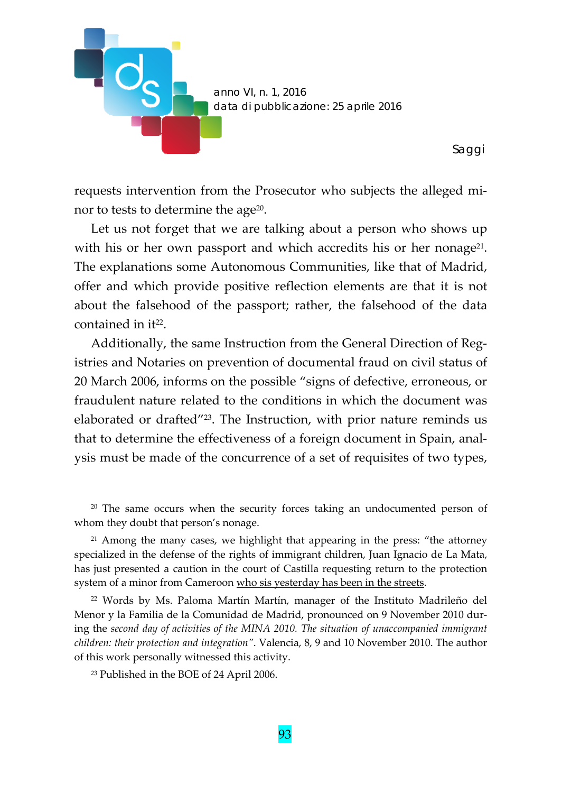

requests intervention from the Prosecutor who subjects the alleged mi‐ nor to tests to determine the age $20$ .

Let us not forget that we are talking about a person who shows up with his or her own passport and which accredits his or her nonage<sup>21</sup>. The explanations some Autonomous Communities, like that of Madrid, offer and which provide positive reflection elements are that it is not about the falsehood of the passport; rather, the falsehood of the data contained in it<sup>22</sup>.

Additionally, the same Instruction from the General Direction of Reg‐ istries and Notaries on prevention of documental fraud on civil status of 20 March 2006, informs on the possible "signs of defective, erroneous, or fraudulent nature related to the conditions in which the document was elaborated or drafted"23. The Instruction, with prior nature reminds us that to determine the effectiveness of a foreign document in Spain, anal‐ ysis must be made of the concurrence of a set of requisites of two types,

<sup>20</sup> The same occurs when the security forces taking an undocumented person of whom they doubt that person's nonage.

<sup>21</sup> Among the many cases, we highlight that appearing in the press: "the attorney specialized in the defense of the rights of immigrant children, Juan Ignacio de La Mata, has just presented a caution in the court of Castilla requesting return to the protection system of a minor from Cameroon who sis yesterday has been in the streets.

<sup>22</sup> Words by Ms. Paloma Martín Martín, manager of the Instituto Madrileño del Menor y la Familia de la Comunidad de Madrid, pronounced on 9 November 2010 dur‐ ing the *second day of activities of the MINA 2010. The situation of unaccompanied immigrant children: their protection and integration"*. Valencia, 8, 9 and 10 November 2010. The author of this work personally witnessed this activity.

<sup>23</sup> Published in the BOE of 24 April 2006.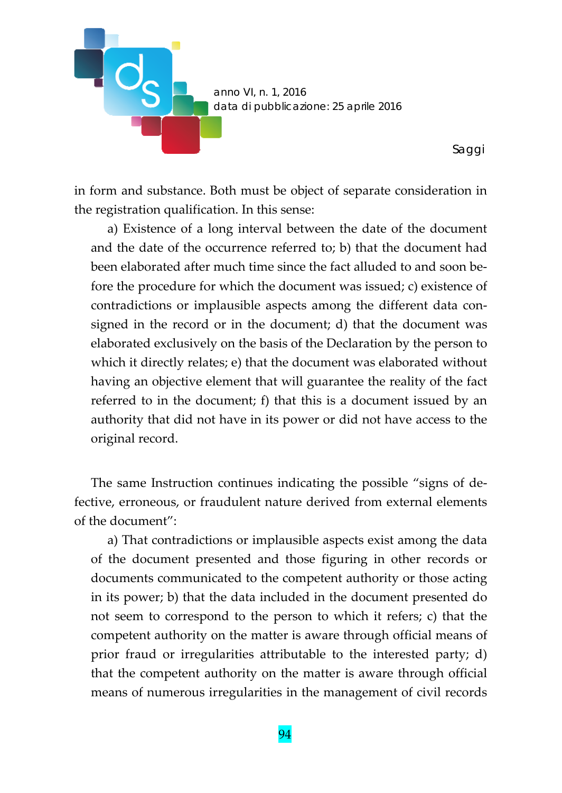

in form and substance. Both must be object of separate consideration in the registration qualification. In this sense:

a) Existence of a long interval between the date of the document and the date of the occurrence referred to; b) that the document had been elaborated after much time since the fact alluded to and soon be‐ fore the procedure for which the document was issued; c) existence of contradictions or implausible aspects among the different data consigned in the record or in the document; d) that the document was elaborated exclusively on the basis of the Declaration by the person to which it directly relates; e) that the document was elaborated without having an objective element that will guarantee the reality of the fact referred to in the document; f) that this is a document issued by an authority that did not have in its power or did not have access to the original record.

The same Instruction continues indicating the possible "signs of de‐ fective, erroneous, or fraudulent nature derived from external elements of the document":

a) That contradictions or implausible aspects exist among the data of the document presented and those figuring in other records or documents communicated to the competent authority or those acting in its power; b) that the data included in the document presented do not seem to correspond to the person to which it refers; c) that the competent authority on the matter is aware through official means of prior fraud or irregularities attributable to the interested party; d) that the competent authority on the matter is aware through official means of numerous irregularities in the management of civil records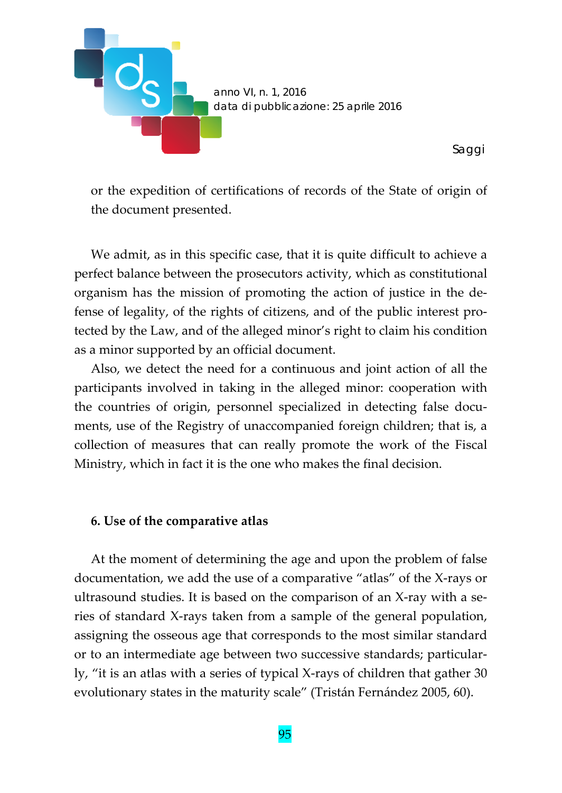

or the expedition of certifications of records of the State of origin of the document presented.

We admit, as in this specific case, that it is quite difficult to achieve a perfect balance between the prosecutors activity, which as constitutional organism has the mission of promoting the action of justice in the de‐ fense of legality, of the rights of citizens, and of the public interest pro‐ tected by the Law, and of the alleged minor's right to claim his condition as a minor supported by an official document.

Also, we detect the need for a continuous and joint action of all the participants involved in taking in the alleged minor: cooperation with the countries of origin, personnel specialized in detecting false documents, use of the Registry of unaccompanied foreign children; that is, a collection of measures that can really promote the work of the Fiscal Ministry, which in fact it is the one who makes the final decision.

#### **6. Use of the comparative atlas**

At the moment of determining the age and upon the problem of false documentation, we add the use of a comparative "atlas" of the X‐rays or ultrasound studies. It is based on the comparison of an X‐ray with a se‐ ries of standard X‐rays taken from a sample of the general population, assigning the osseous age that corresponds to the most similar standard or to an intermediate age between two successive standards; particular‐ ly, "it is an atlas with a series of typical X‐rays of children that gather 30 evolutionary states in the maturity scale" (Tristán Fernández 2005, 60).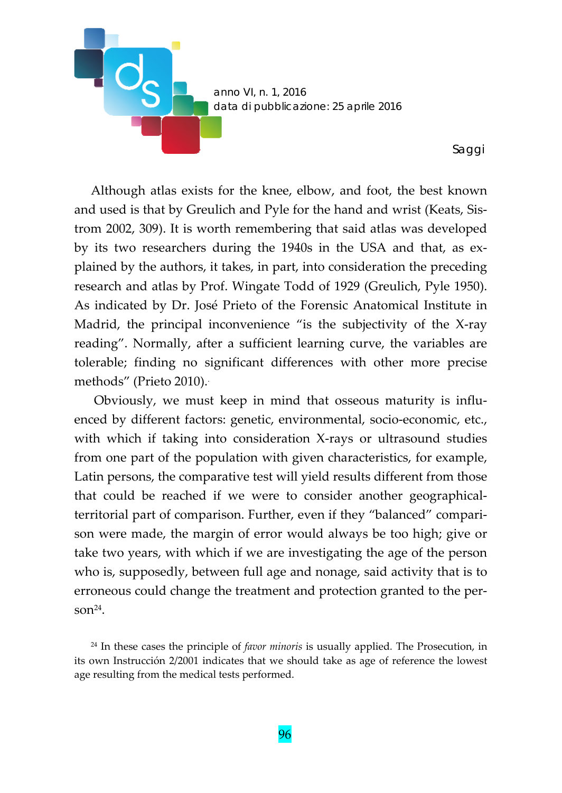

Although atlas exists for the knee, elbow, and foot, the best known and used is that by Greulich and Pyle for the hand and wrist (Keats, Sis‐ trom 2002, 309). It is worth remembering that said atlas was developed by its two researchers during the 1940s in the USA and that, as ex‐ plained by the authors, it takes, in part, into consideration the preceding research and atlas by Prof. Wingate Todd of 1929 (Greulich, Pyle 1950). As indicated by Dr. José Prieto of the Forensic Anatomical Institute in Madrid, the principal inconvenience "is the subjectivity of the X‐ray reading". Normally, after a sufficient learning curve, the variables are tolerable; finding no significant differences with other more precise methods" (Prieto 2010)..

Obviously, we must keep in mind that osseous maturity is influ‐ enced by different factors: genetic, environmental, socio‐economic, etc., with which if taking into consideration X-rays or ultrasound studies from one part of the population with given characteristics, for example, Latin persons, the comparative test will yield results different from those that could be reached if we were to consider another geographical‐ territorial part of comparison. Further, even if they "balanced" compari‐ son were made, the margin of error would always be too high; give or take two years, with which if we are investigating the age of the person who is, supposedly, between full age and nonage, said activity that is to erroneous could change the treatment and protection granted to the per‐ son $^{24}$ .

<sup>24</sup> In these cases the principle of *favor minoris* is usually applied*.* The Prosecution, in its own Instrucción 2/2001 indicates that we should take as age of reference the lowest age resulting from the medical tests performed.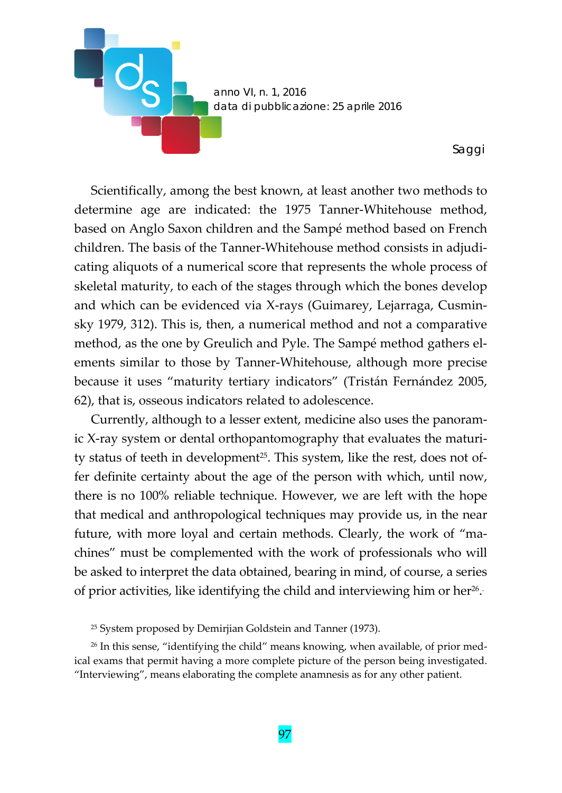

Scientifically, among the best known, at least another two methods to determine age are indicated: the 1975 Tanner‐Whitehouse method, based on Anglo Saxon children and the Sampé method based on French children. The basis of the Tanner‐Whitehouse method consists in adjudi‐ cating aliquots of a numerical score that represents the whole process of skeletal maturity, to each of the stages through which the bones develop and which can be evidenced via X‐rays (Guimarey, Lejarraga, Cusmin‐ sky 1979, 312). This is, then, a numerical method and not a comparative method, as the one by Greulich and Pyle. The Sampé method gathers elements similar to those by Tanner‐Whitehouse, although more precise because it uses "maturity tertiary indicators" (Tristán Fernández 2005, 62), that is, osseous indicators related to adolescence.

Currently, although to a lesser extent, medicine also uses the panoram‐ ic X‐ray system or dental orthopantomography that evaluates the maturi‐ ty status of teeth in development<sup>25</sup>. This system, like the rest, does not offer definite certainty about the age of the person with which, until now, there is no 100% reliable technique. However, we are left with the hope that medical and anthropological techniques may provide us, in the near future, with more loyal and certain methods. Clearly, the work of "machines" must be complemented with the work of professionals who will be asked to interpret the data obtained, bearing in mind, of course, a series of prior activities, like identifying the child and interviewing him or her $^{26}$ .

<sup>25</sup> System proposed by Demirjian Goldstein and Tanner (1973).

<sup>26</sup> In this sense, "identifying the child" means knowing, when available, of prior medical exams that permit having a more complete picture of the person being investigated. "Interviewing", means elaborating the complete anamnesis as for any other patient.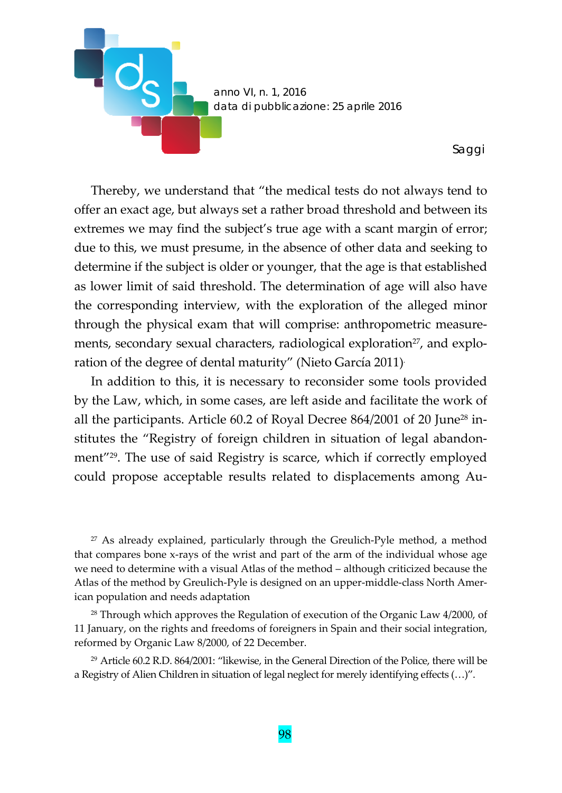

Thereby, we understand that "the medical tests do not always tend to offer an exact age, but always set a rather broad threshold and between its extremes we may find the subject's true age with a scant margin of error; due to this, we must presume, in the absence of other data and seeking to determine if the subject is older or younger, that the age is that established as lower limit of said threshold. The determination of age will also have the corresponding interview, with the exploration of the alleged minor through the physical exam that will comprise: anthropometric measure‐ ments, secondary sexual characters, radiological exploration<sup>27</sup>, and exploration of the degree of dental maturity" (Nieto García 2011).

In addition to this, it is necessary to reconsider some tools provided by the Law, which, in some cases, are left aside and facilitate the work of all the participants. Article 60.2 of Royal Decree 864/2001 of 20 June28 in‐ stitutes the "Registry of foreign children in situation of legal abandon‐ ment"29. The use of said Registry is scarce, which if correctly employed could propose acceptable results related to displacements among Au‐

<sup>27</sup> As already explained, particularly through the Greulich-Pyle method, a method that compares bone x‐rays of the wrist and part of the arm of the individual whose age we need to determine with a visual Atlas of the method – although criticized because the Atlas of the method by Greulich‐Pyle is designed on an upper‐middle‐class North Amer‐ ican population and needs adaptation

<sup>28</sup> Through which approves the Regulation of execution of the Organic Law 4/2000, of 11 January, on the rights and freedoms of foreigners in Spain and their social integration, reformed by Organic Law 8/2000, of 22 December.

<sup>29</sup> Article 60.2 R.D. 864/2001: "likewise, in the General Direction of the Police, there will be a Registry of Alien Children in situation of legal neglect for merely identifying effects (…)".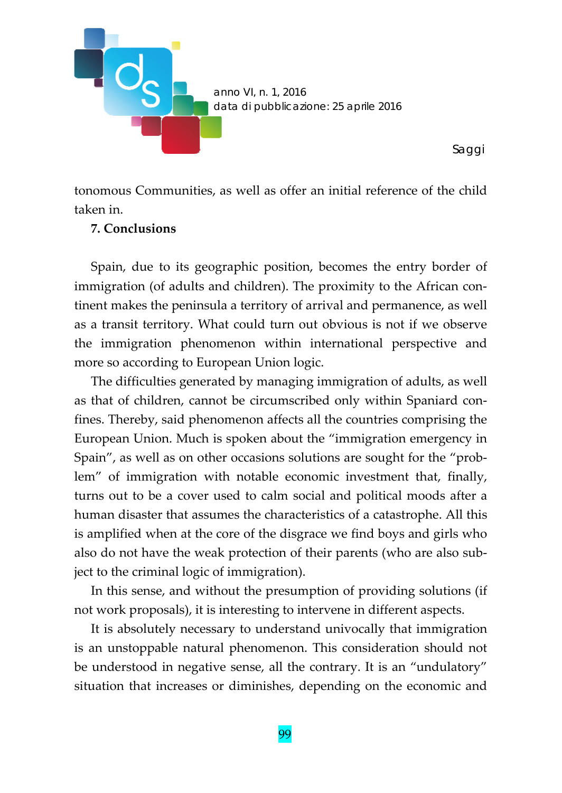

tonomous Communities, as well as offer an initial reference of the child taken in.

#### **7. Conclusions**

Spain, due to its geographic position, becomes the entry border of immigration (of adults and children). The proximity to the African continent makes the peninsula a territory of arrival and permanence, as well as a transit territory. What could turn out obvious is not if we observe the immigration phenomenon within international perspective and more so according to European Union logic.

The difficulties generated by managing immigration of adults, as well as that of children, cannot be circumscribed only within Spaniard con‐ fines. Thereby, said phenomenon affects all the countries comprising the European Union. Much is spoken about the "immigration emergency in Spain", as well as on other occasions solutions are sought for the "problem" of immigration with notable economic investment that, finally, turns out to be a cover used to calm social and political moods after a human disaster that assumes the characteristics of a catastrophe. All this is amplified when at the core of the disgrace we find boys and girls who also do not have the weak protection of their parents (who are also sub‐ ject to the criminal logic of immigration).

In this sense, and without the presumption of providing solutions (if not work proposals), it is interesting to intervene in different aspects.

It is absolutely necessary to understand univocally that immigration is an unstoppable natural phenomenon. This consideration should not be understood in negative sense, all the contrary. It is an "undulatory" situation that increases or diminishes, depending on the economic and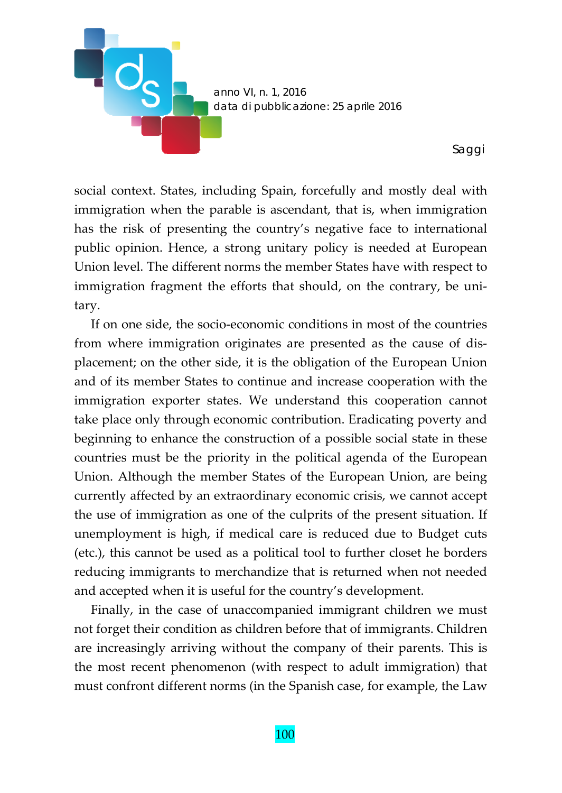

social context. States, including Spain, forcefully and mostly deal with immigration when the parable is ascendant, that is, when immigration has the risk of presenting the country's negative face to international public opinion. Hence, a strong unitary policy is needed at European Union level. The different norms the member States have with respect to immigration fragment the efforts that should, on the contrary, be unitary.

If on one side, the socio‐economic conditions in most of the countries from where immigration originates are presented as the cause of dis‐ placement; on the other side, it is the obligation of the European Union and of its member States to continue and increase cooperation with the immigration exporter states. We understand this cooperation cannot take place only through economic contribution. Eradicating poverty and beginning to enhance the construction of a possible social state in these countries must be the priority in the political agenda of the European Union. Although the member States of the European Union, are being currently affected by an extraordinary economic crisis, we cannot accept the use of immigration as one of the culprits of the present situation. If unemployment is high, if medical care is reduced due to Budget cuts (etc.), this cannot be used as a political tool to further closet he borders reducing immigrants to merchandize that is returned when not needed and accepted when it is useful for the country's development.

Finally, in the case of unaccompanied immigrant children we must not forget their condition as children before that of immigrants. Children are increasingly arriving without the company of their parents. This is the most recent phenomenon (with respect to adult immigration) that must confront different norms (in the Spanish case, for example, the Law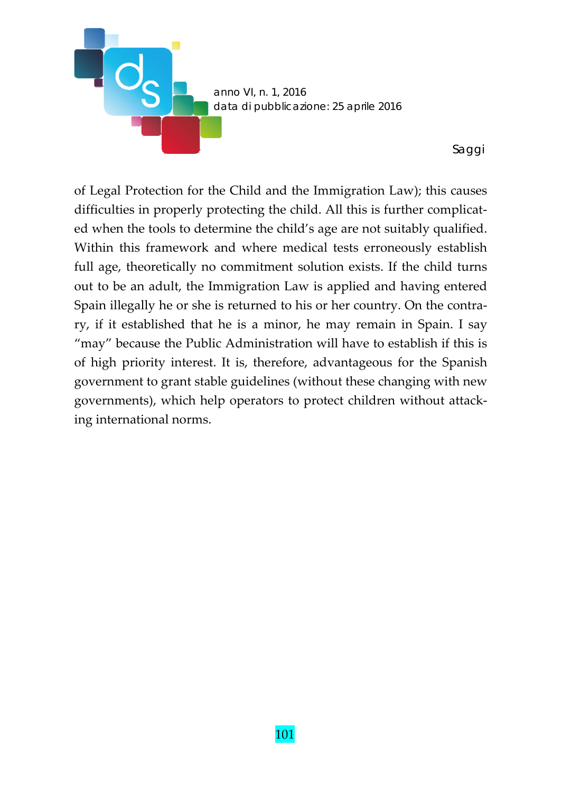

of Legal Protection for the Child and the Immigration Law); this causes difficulties in properly protecting the child. All this is further complicat‐ ed when the tools to determine the child's age are not suitably qualified. Within this framework and where medical tests erroneously establish full age, theoretically no commitment solution exists. If the child turns out to be an adult, the Immigration Law is applied and having entered Spain illegally he or she is returned to his or her country. On the contrary, if it established that he is a minor, he may remain in Spain. I say "may" because the Public Administration will have to establish if this is of high priority interest. It is, therefore, advantageous for the Spanish government to grant stable guidelines (without these changing with new governments), which help operators to protect children without attack‐ ing international norms.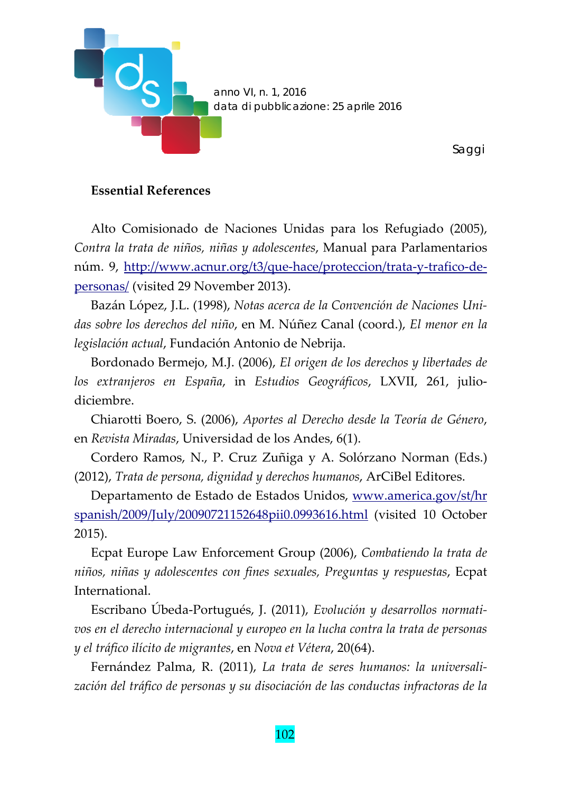

### **Essential References**

Alto Comisionado de Naciones Unidas para los Refugiado (2005), *Contra la trata de niños, niñas y adolescentes*, Manual para Parlamentarios núm. 9, http://www.acnur.org/t3/que-hace/proteccion/trata-y-trafico-depersonas/ (visited 29 November 2013).

Bazán López, J.L. (1998), *Notas acerca de la Convención de Naciones Uni‐ das sobre los derechos del niño*, en M. Núñez Canal (coord.), *El menor en la legislación actual*, Fundación Antonio de Nebrija.

Bordonado Bermejo, M.J. (2006), *El origen de los derechos y libertades de los extranjeros en España*, in *Estudios Geográficos*, LXVII, 261, julio‐ diciembre.

Chiarotti Boero, S. (2006), *Aportes al Derecho desde la Teoría de Género*, en *Revista Miradas*, Universidad de los Andes, 6(1).

Cordero Ramos, N., P. Cruz Zuñiga y A. Solórzano Norman (Eds.) (2012), *Trata de persona, dignidad y derechos humanos*, ArCiBel Editores.

Departamento de Estado de Estados Unidos, www.america.gov/st/hr spanish/2009/July/20090721152648pii0.0993616.html (visited 10 October 2015).

Ecpat Europe Law Enforcement Group (2006), *Combatiendo la trata de niños, niñas y adolescentes con fines sexuales, Preguntas y respuestas*, Ecpat International.

Escribano Úbeda‐Portugués, J. (2011), *Evolución y desarrollos normati‐ vos en el derecho internacional y europeo en la lucha contra la trata de personas y el tráfico ilícito de migrantes*, en *Nova et Vétera*, 20(64).

Fernández Palma, R. (2011), *La trata de seres humanos: la universali‐ zación del tráfico de personas y su disociación de las conductas infractoras de la*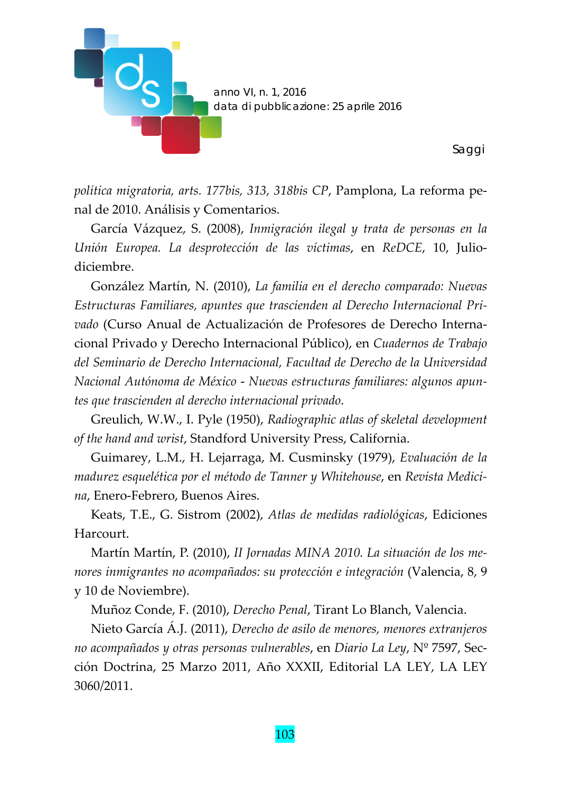

*política migratoria, arts. 177bis, 313, 318bis CP*, Pamplona, La reforma pe‐ nal de 2010. Análisis y Comentarios.

García Vázquez, S. (2008), *Inmigración ilegal y trata de personas en la Unión Europea. La desprotección de las víctimas*, en *ReDCE*, 10, Julio‐ diciembre.

González Martín, N. (2010), *La familia en el derecho comparado: Nuevas Estructuras Familiares, apuntes que trascienden al Derecho Internacional Pri‐ vado* (Curso Anual de Actualización de Profesores de Derecho Interna‐ cional Privado y Derecho Internacional Público), en *Cuadernos de Trabajo del Seminario de Derecho Internacional, Facultad de Derecho de la Universidad Nacional Autónoma de México* ‐ *Nuevas estructuras familiares: algunos apun‐ tes que trascienden al derecho internacional privado*.

Greulich, W.W., I. Pyle (1950), *Radiographic atlas of skeletal development of the hand and wrist*, Standford University Press, California.

Guimarey, L.M., H. Lejarraga, M. Cusminsky (1979), *Evaluación de la madurez esquelética por el método de Tanner y Whitehouse*, en *Revista Medici‐ na*, Enero‐Febrero, Buenos Aires.

Keats, T.E., G. Sistrom (2002), *Atlas de medidas radiológicas*, Ediciones Harcourt.

Martín Martín, P. (2010), *II Jornadas MINA 2010. La situación de los me‐ nores inmigrantes no acompañados: su protección e integración* (Valencia, 8, 9 y 10 de Noviembre).

Muñoz Conde, F. (2010), *Derecho Penal*, Tirant Lo Blanch, Valencia.

Nieto García Á.J. (2011), *Derecho de asilo de menores, menores extranjeros no acompañados y otras personas vulnerables*, en *Diario La Ley*, Nº 7597, Sec‐ ción Doctrina, 25 Marzo 2011, Año XXXII, Editorial LA LEY, LA LEY 3060/2011.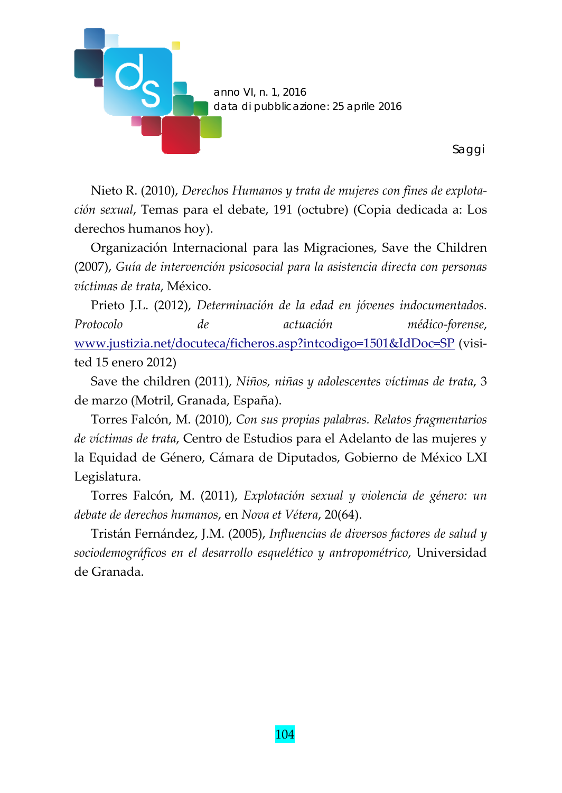

Nieto R. (2010), *Derechos Humanos y trata de mujeres con fines de explota‐ ción sexual*, Temas para el debate, 191 (octubre) (Copia dedicada a: Los derechos humanos hoy).

Organización Internacional para las Migraciones, Save the Children (2007), *Guía de intervención psicosocial para la asistencia directa con personas víctimas de trata*, México.

Prieto J.L. (2012), *Determinación de la edad en jóvenes indocumentados. Protocolo de actuación médico‐forense*, www.justizia.net/docuteca/ficheros.asp?intcodigo=1501&IdDoc=SP (visi‐ ted 15 enero 2012)

Save the children (2011), *Niños, niñas y adolescentes víctimas de trata*, 3 de marzo (Motril, Granada, España).

Torres Falcón, M. (2010), *Con sus propias palabras. Relatos fragmentarios de víctimas de trata*, Centro de Estudios para el Adelanto de las mujeres y la Equidad de Género, Cámara de Diputados, Gobierno de México LXI Legislatura.

Torres Falcón, M. (2011), *Explotación sexual y violencia de género: un debate de derechos humanos*, en *Nova et Vétera*, 20(64).

Tristán Fernández, J.M. (2005), *Influencias de diversos factores de salud y sociodemográficos en el desarrollo esquelético y antropométrico*, Universidad de Granada.